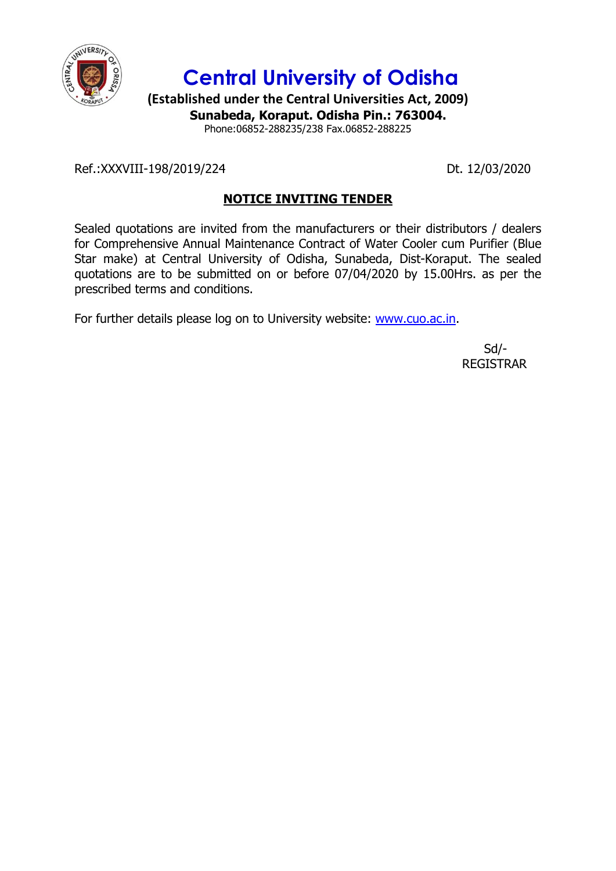

**Central University of Odisha**

**(Established under the Central Universities Act, 2009) Sunabeda, Koraput. Odisha Pin.: 763004.**

Phone:06852-288235/238 Fax.06852-288225

Ref.:XXXVIII-198/2019/224 Dt. 12/03/2020

## **NOTICE INVITING TENDER**

Sealed quotations are invited from the manufacturers or their distributors / dealers for Comprehensive Annual Maintenance Contract of Water Cooler cum Purifier (Blue Star make) at Central University of Odisha, Sunabeda, Dist-Koraput. The sealed quotations are to be submitted on or before 07/04/2020 by 15.00Hrs. as per the prescribed terms and conditions.

For further details please log on to University website: www.cuo.ac.in.

Sd/- REGISTRAR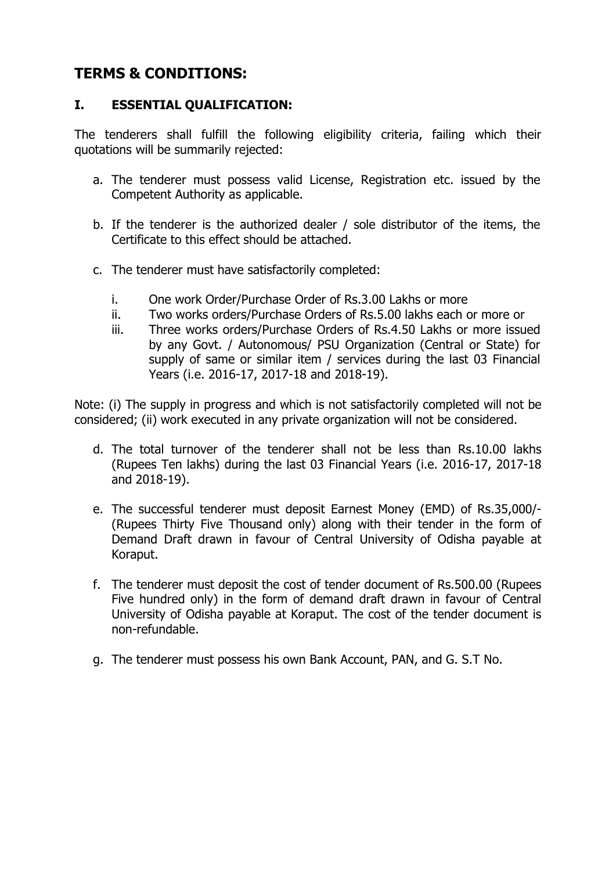# **TERMS & CONDITIONS:**

## **I. ESSENTIAL QUALIFICATION:**

The tenderers shall fulfill the following eligibility criteria, failing which their quotations will be summarily rejected:

- a. The tenderer must possess valid License, Registration etc. issued by the Competent Authority as applicable.
- b. If the tenderer is the authorized dealer / sole distributor of the items, the Certificate to this effect should be attached.
- c. The tenderer must have satisfactorily completed:
	- i. One work Order/Purchase Order of Rs.3.00 Lakhs or more
	- ii. Two works orders/Purchase Orders of Rs.5.00 lakhs each or more or
	- iii. Three works orders/Purchase Orders of Rs.4.50 Lakhs or more issued by any Govt. / Autonomous/ PSU Organization (Central or State) for supply of same or similar item / services during the last 03 Financial Years (i.e. 2016-17, 2017-18 and 2018-19).

Note: (i) The supply in progress and which is not satisfactorily completed will not be considered; (ii) work executed in any private organization will not be considered.

- d. The total turnover of the tenderer shall not be less than Rs.10.00 lakhs (Rupees Ten lakhs) during the last 03 Financial Years (i.e. 2016-17, 2017-18 and 2018-19).
- e. The successful tenderer must deposit Earnest Money (EMD) of Rs.35,000/- (Rupees Thirty Five Thousand only) along with their tender in the form of Demand Draft drawn in favour of Central University of Odisha payable at Koraput.
- f. The tenderer must deposit the cost of tender document of Rs.500.00 (Rupees Five hundred only) in the form of demand draft drawn in favour of Central University of Odisha payable at Koraput. The cost of the tender document is non-refundable.
- g. The tenderer must possess his own Bank Account, PAN, and G. S.T No.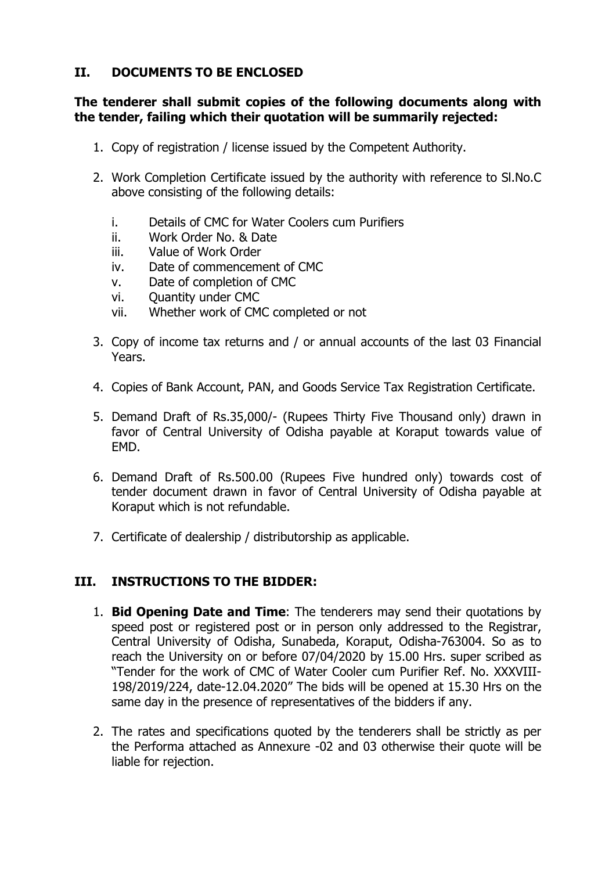### **II. DOCUMENTS TO BE ENCLOSED**

#### **The tenderer shall submit copies of the following documents along with the tender, failing which their quotation will be summarily rejected:**

- 1. Copy of registration / license issued by the Competent Authority.
- 2. Work Completion Certificate issued by the authority with reference to Sl.No.C above consisting of the following details:
	- i. Details of CMC for Water Coolers cum Purifiers
	- ii. Work Order No. & Date
	- iii. Value of Work Order
	- iv. Date of commencement of CMC
	- v. Date of completion of CMC
	- vi. Quantity under CMC
	- vii. Whether work of CMC completed or not
- 3. Copy of income tax returns and / or annual accounts of the last 03 Financial Years.
- 4. Copies of Bank Account, PAN, and Goods Service Tax Registration Certificate.
- 5. Demand Draft of Rs.35,000/- (Rupees Thirty Five Thousand only) drawn in favor of Central University of Odisha payable at Koraput towards value of EMD.
- 6. Demand Draft of Rs.500.00 (Rupees Five hundred only) towards cost of tender document drawn in favor of Central University of Odisha payable at Koraput which is not refundable.
- 7. Certificate of dealership / distributorship as applicable.

### **III. INSTRUCTIONS TO THE BIDDER:**

- 1. **Bid Opening Date and Time**: The tenderers may send their quotations by speed post or registered post or in person only addressed to the Registrar, Central University of Odisha, Sunabeda, Koraput, Odisha-763004. So as to reach the University on or before 07/04/2020 by 15.00 Hrs. super scribed as "Tender for the work of CMC of Water Cooler cum Purifier Ref. No. XXXVIII-198/2019/224, date-12.04.2020" The bids will be opened at 15.30 Hrs on the same day in the presence of representatives of the bidders if any.
- 2. The rates and specifications quoted by the tenderers shall be strictly as per the Performa attached as Annexure -02 and 03 otherwise their quote will be liable for rejection.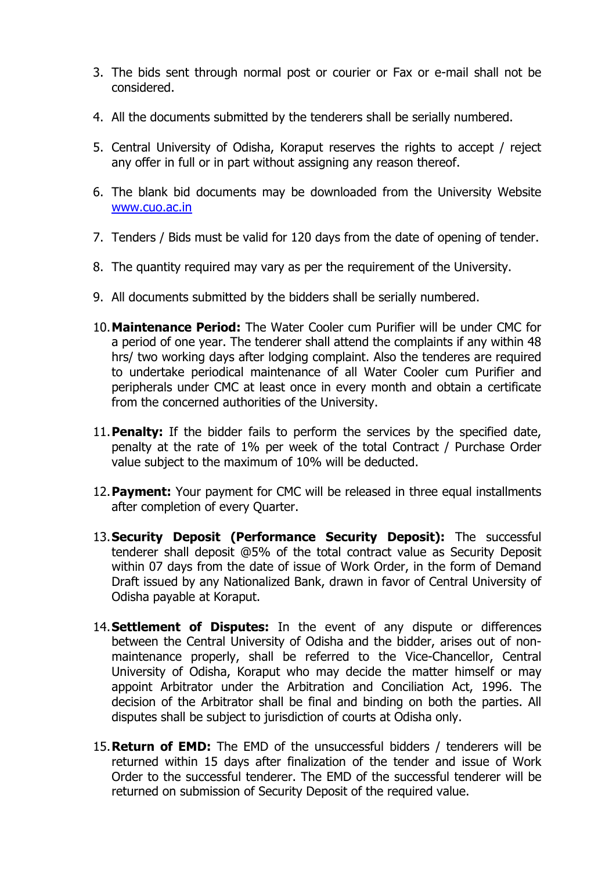- 3. The bids sent through normal post or courier or Fax or e-mail shall not be considered.
- 4. All the documents submitted by the tenderers shall be serially numbered.
- 5. Central University of Odisha, Koraput reserves the rights to accept / reject any offer in full or in part without assigning any reason thereof.
- 6. The blank bid documents may be downloaded from the University Website www.cuo.ac.in
- 7. Tenders / Bids must be valid for 120 days from the date of opening of tender.
- 8. The quantity required may vary as per the requirement of the University.
- 9. All documents submitted by the bidders shall be serially numbered.
- 10.**Maintenance Period:** The Water Cooler cum Purifier will be under CMC for a period of one year. The tenderer shall attend the complaints if any within 48 hrs/ two working days after lodging complaint. Also the tenderes are required to undertake periodical maintenance of all Water Cooler cum Purifier and peripherals under CMC at least once in every month and obtain a certificate from the concerned authorities of the University.
- 11.**Penalty:** If the bidder fails to perform the services by the specified date, penalty at the rate of 1% per week of the total Contract / Purchase Order value subject to the maximum of 10% will be deducted.
- 12.**Payment:** Your payment for CMC will be released in three equal installments after completion of every Quarter.
- 13.**Security Deposit (Performance Security Deposit):** The successful tenderer shall deposit @5% of the total contract value as Security Deposit within 07 days from the date of issue of Work Order, in the form of Demand Draft issued by any Nationalized Bank, drawn in favor of Central University of Odisha payable at Koraput.
- 14.**Settlement of Disputes:** In the event of any dispute or differences between the Central University of Odisha and the bidder, arises out of nonmaintenance properly, shall be referred to the Vice-Chancellor, Central University of Odisha, Koraput who may decide the matter himself or may appoint Arbitrator under the Arbitration and Conciliation Act, 1996. The decision of the Arbitrator shall be final and binding on both the parties. All disputes shall be subject to jurisdiction of courts at Odisha only.
- 15.**Return of EMD:** The EMD of the unsuccessful bidders / tenderers will be returned within 15 days after finalization of the tender and issue of Work Order to the successful tenderer. The EMD of the successful tenderer will be returned on submission of Security Deposit of the required value.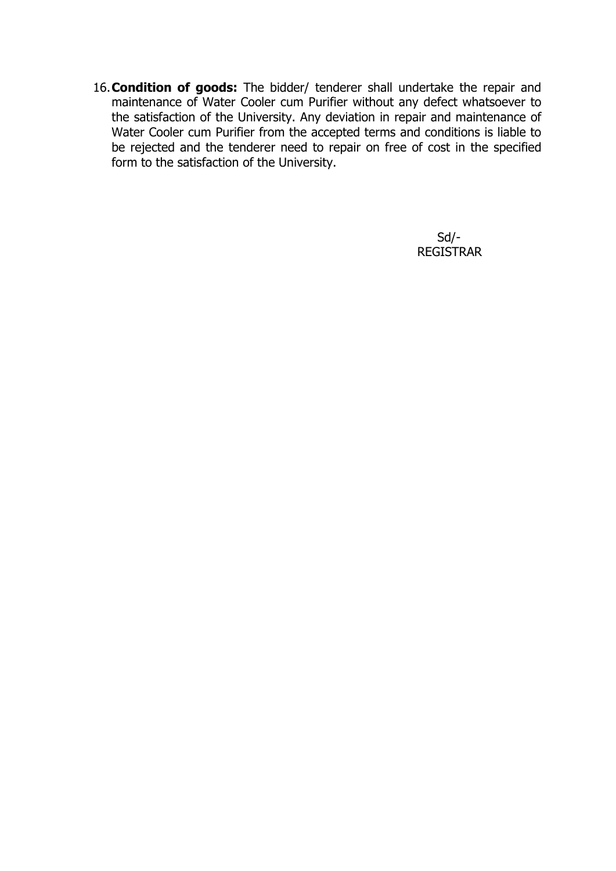16.**Condition of goods:** The bidder/ tenderer shall undertake the repair and maintenance of Water Cooler cum Purifier without any defect whatsoever to the satisfaction of the University. Any deviation in repair and maintenance of Water Cooler cum Purifier from the accepted terms and conditions is liable to be rejected and the tenderer need to repair on free of cost in the specified form to the satisfaction of the University.

> Sd/- REGISTRAR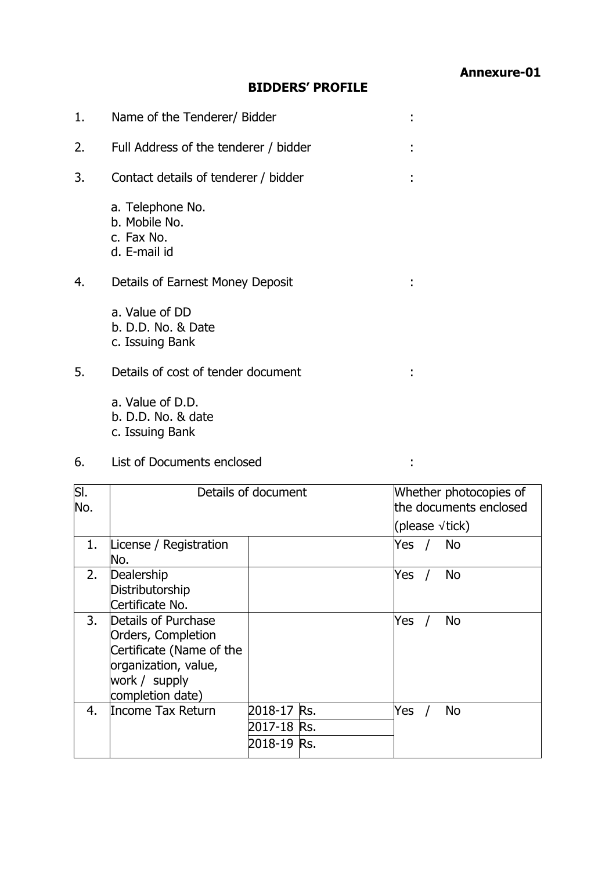# **BIDDERS' PROFILE**

| 1. | Name of the Tenderer/ Bidder                                    |  |
|----|-----------------------------------------------------------------|--|
| 2. | Full Address of the tenderer / bidder                           |  |
| 3. | Contact details of tenderer / bidder                            |  |
|    | a. Telephone No.<br>b. Mobile No.<br>c. Fax No.<br>d. E-mail id |  |
| 4. | Details of Earnest Money Deposit                                |  |
|    | a. Value of DD<br>b. D.D. No. & Date<br>c. Issuing Bank         |  |
| 5. | Details of cost of tender document                              |  |
|    | a. Value of D.D.<br>b. D.D. No. & date<br>c. Issuing Bank       |  |

# 6. List of Documents enclosed :

| SI.<br>No. |                                                                                                                                    | Details of document                       |  | Whether photocopies of<br>the documents enclosed |  |                                |
|------------|------------------------------------------------------------------------------------------------------------------------------------|-------------------------------------------|--|--------------------------------------------------|--|--------------------------------|
|            |                                                                                                                                    |                                           |  |                                                  |  | (please $\sqrt{\text{tick}}$ ) |
| 1.         | License / Registration<br>No.                                                                                                      |                                           |  | Yes                                              |  | No                             |
| 2.         | Dealership<br>Distributorship<br>Certificate No.                                                                                   |                                           |  | Yes                                              |  | <b>No</b>                      |
| 3.         | Details of Purchase<br>Orders, Completion<br>Certificate (Name of the<br>organization, value,<br>work / supply<br>completion date) |                                           |  | Yes                                              |  | <b>No</b>                      |
| 4.         | Income Tax Return                                                                                                                  | 2018-17 Rs.<br>2017-18 Rs.<br>2018-19 Rs. |  | Yes                                              |  | <b>No</b>                      |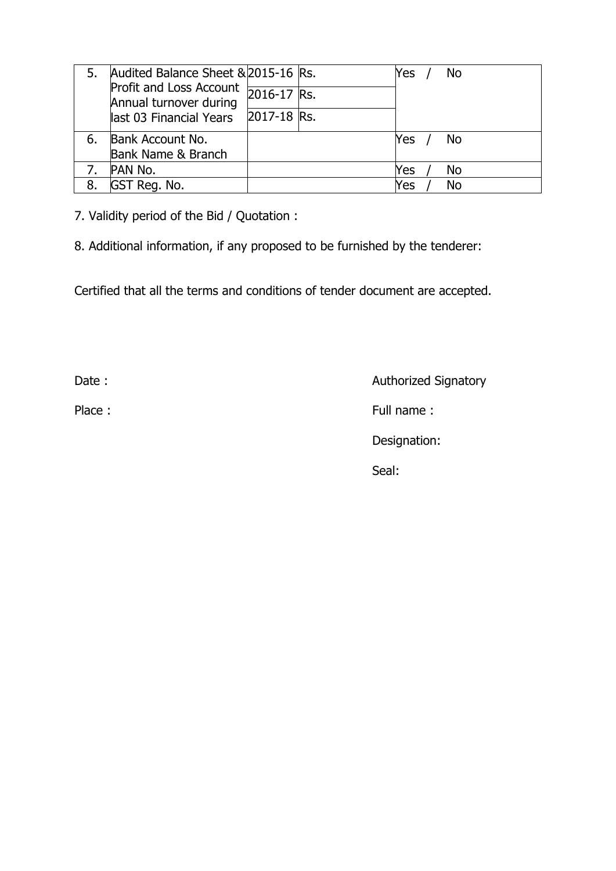|    | Audited Balance Sheet & 2015-16 Rs.                           |             | Yes | No |
|----|---------------------------------------------------------------|-------------|-----|----|
|    | Profit and Loss Account 2016-17 Rs.<br>Annual turnover during |             |     |    |
|    | last 03 Financial Years                                       | 2017-18 Rs. |     |    |
| 6. | Bank Account No.                                              |             | Yes | No |
|    | Bank Name & Branch                                            |             |     |    |
|    | PAN No.                                                       |             | Yes | No |
| 8. | GST Reg. No.                                                  |             | Yes | No |

7. Validity period of the Bid / Quotation :

8. Additional information, if any proposed to be furnished by the tenderer:

Certified that all the terms and conditions of tender document are accepted.

Date : **Authorized Signatory** 

Place : Full name : Full name :

Designation:

Seal: